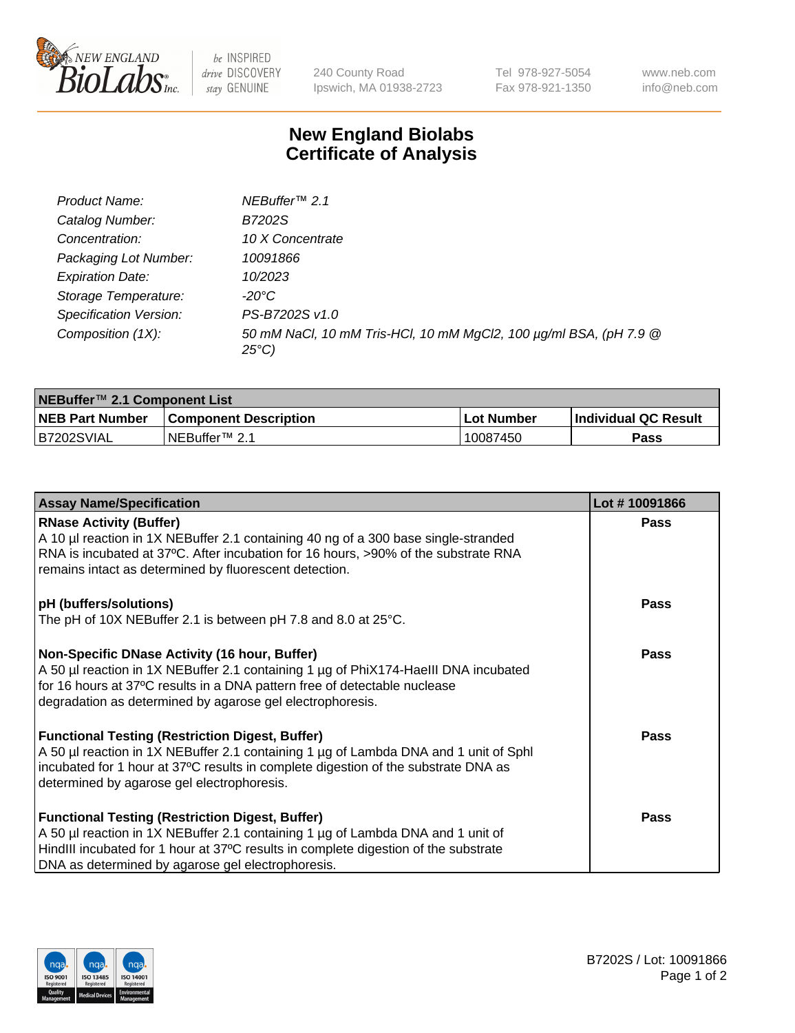

be INSPIRED drive DISCOVERY stay GENUINE

240 County Road Ipswich, MA 01938-2723 Tel 978-927-5054 Fax 978-921-1350 www.neb.com info@neb.com

## **New England Biolabs Certificate of Analysis**

| Product Name:           | NEBuffer <sup>™</sup> 2.1                                                          |
|-------------------------|------------------------------------------------------------------------------------|
| Catalog Number:         | B7202S                                                                             |
| Concentration:          | 10 X Concentrate                                                                   |
| Packaging Lot Number:   | 10091866                                                                           |
| <b>Expiration Date:</b> | 10/2023                                                                            |
| Storage Temperature:    | -20°C                                                                              |
| Specification Version:  | PS-B7202S v1.0                                                                     |
| Composition (1X):       | 50 mM NaCl, 10 mM Tris-HCl, 10 mM MgCl2, 100 µg/ml BSA, (pH 7.9 @<br>$25^{\circ}C$ |

| NEBuffer™ 2.1 Component List |                              |              |                             |  |  |
|------------------------------|------------------------------|--------------|-----------------------------|--|--|
| <b>NEB Part Number</b>       | <b>Component Description</b> | . Lot Number | <b>Individual QC Result</b> |  |  |
| B7202SVIAL                   | NEBuffer™ 2.1                | 10087450     | <b>Pass</b>                 |  |  |

| <b>Assay Name/Specification</b>                                                                                                                                                                                                                                                       | Lot #10091866 |
|---------------------------------------------------------------------------------------------------------------------------------------------------------------------------------------------------------------------------------------------------------------------------------------|---------------|
| <b>RNase Activity (Buffer)</b><br>A 10 µl reaction in 1X NEBuffer 2.1 containing 40 ng of a 300 base single-stranded                                                                                                                                                                  | <b>Pass</b>   |
| RNA is incubated at 37°C. After incubation for 16 hours, >90% of the substrate RNA<br>remains intact as determined by fluorescent detection.                                                                                                                                          |               |
| pH (buffers/solutions)<br>The pH of 10X NEBuffer 2.1 is between pH 7.8 and 8.0 at 25°C.                                                                                                                                                                                               | <b>Pass</b>   |
| Non-Specific DNase Activity (16 hour, Buffer)<br>A 50 µl reaction in 1X NEBuffer 2.1 containing 1 µg of PhiX174-Haelll DNA incubated<br>for 16 hours at 37°C results in a DNA pattern free of detectable nuclease<br>degradation as determined by agarose gel electrophoresis.        | Pass          |
| <b>Functional Testing (Restriction Digest, Buffer)</b><br>A 50 µl reaction in 1X NEBuffer 2.1 containing 1 µg of Lambda DNA and 1 unit of Sphl<br>incubated for 1 hour at 37°C results in complete digestion of the substrate DNA as<br>determined by agarose gel electrophoresis.    | <b>Pass</b>   |
| <b>Functional Testing (Restriction Digest, Buffer)</b><br>A 50 µl reaction in 1X NEBuffer 2.1 containing 1 µg of Lambda DNA and 1 unit of<br>HindIII incubated for 1 hour at 37°C results in complete digestion of the substrate<br>DNA as determined by agarose gel electrophoresis. | <b>Pass</b>   |